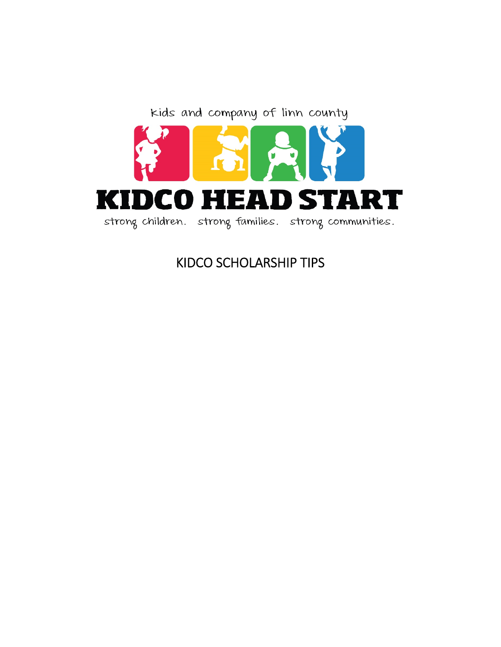

# KIDCO SCHOLARSHIP TIPS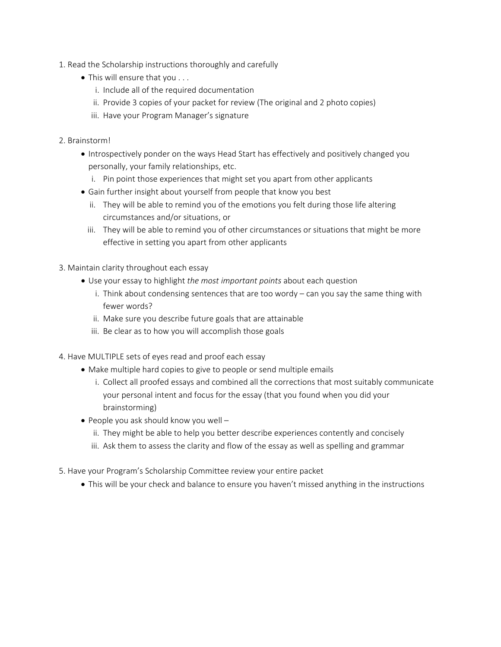- 1. Read the Scholarship instructions thoroughly and carefully
	- This will ensure that you . . .
		- i. Include all of the required documentation
		- ii. Provide 3 copies of your packet for review (The original and 2 photo copies)
		- iii. Have your Program Manager's signature
- 2. Brainstorm!
	- Introspectively ponder on the ways Head Start has effectively and positively changed you personally, your family relationships, etc.
		- i. Pin point those experiences that might set you apart from other applicants
	- Gain further insight about yourself from people that know you best
		- ii. They will be able to remind you of the emotions you felt during those life altering circumstances and/or situations, or
		- iii. They will be able to remind you of other circumstances or situations that might be more effective in setting you apart from other applicants
- 3. Maintain clarity throughout each essay
	- Use your essay to highlight *the most important points* about each question
		- i. Think about condensing sentences that are too wordy can you say the same thing with fewer words?
		- ii. Make sure you describe future goals that are attainable
		- iii. Be clear as to how you will accomplish those goals
- 4. Have MULTIPLE sets of eyes read and proof each essay
	- Make multiple hard copies to give to people or send multiple emails
		- i. Collect all proofed essays and combined all the corrections that most suitably communicate your personal intent and focus for the essay (that you found when you did your brainstorming)
	- $\bullet$  People you ask should know you well
		- ii. They might be able to help you better describe experiences contently and concisely
		- iii. Ask them to assess the clarity and flow of the essay as well as spelling and grammar
- 5. Have your Program's Scholarship Committee review your entire packet
	- This will be your check and balance to ensure you haven't missed anything in the instructions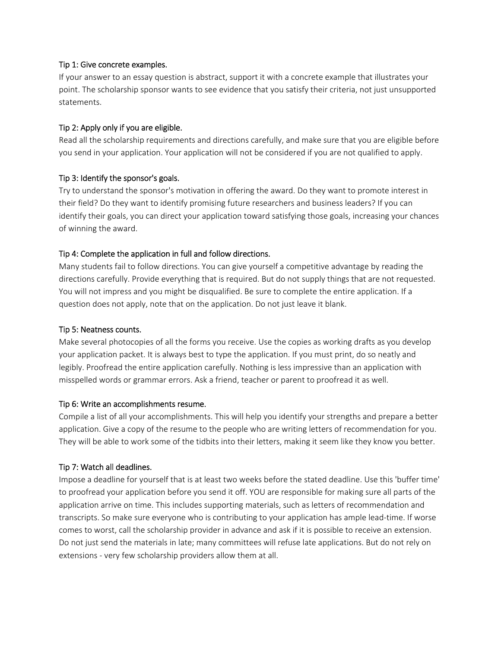#### Tip 1: Give concrete examples.

If your answer to an essay question is abstract, support it with a concrete example that illustrates your point. The scholarship sponsor wants to see evidence that you satisfy their criteria, not just unsupported statements.

## Tip 2: Apply only if you are eligible.

Read all the scholarship requirements and directions carefully, and make sure that you are eligible before you send in your application. Your application will not be considered if you are not qualified to apply.

# Tip 3: Identify the sponsor's goals.

Try to understand the sponsor's motivation in offering the award. Do they want to promote interest in their field? Do they want to identify promising future researchers and business leaders? If you can identify their goals, you can direct your application toward satisfying those goals, increasing your chances of winning the award.

# Tip 4: Complete the application in full and follow directions.

Many students fail to follow directions. You can give yourself a competitive advantage by reading the directions carefully. Provide everything that is required. But do not supply things that are not requested. You will not impress and you might be disqualified. Be sure to complete the entire application. If a question does not apply, note that on the application. Do not just leave it blank.

## Tip 5: Neatness counts.

Make several photocopies of all the forms you receive. Use the copies as working drafts as you develop your application packet. It is always best to type the application. If you must print, do so neatly and legibly. Proofread the entire application carefully. Nothing is less impressive than an application with misspelled words or grammar errors. Ask a friend, teacher or parent to proofread it as well.

## Tip 6: Write an accomplishments resume.

Compile a list of all your accomplishments. This will help you identify your strengths and prepare a better application. Give a copy of the resume to the people who are writing letters of recommendation for you. They will be able to work some of the tidbits into their letters, making it seem like they know you better.

## Tip 7: Watch all deadlines.

Impose a deadline for yourself that is at least two weeks before the stated deadline. Use this 'buffer time' to proofread your application before you send it off. YOU are responsible for making sure all parts of the application arrive on time. This includes supporting materials, such as letters of recommendation and transcripts. So make sure everyone who is contributing to your application has ample lead‐time. If worse comes to worst, call the scholarship provider in advance and ask if it is possible to receive an extension. Do not just send the materials in late; many committees will refuse late applications. But do not rely on extensions - very few scholarship providers allow them at all.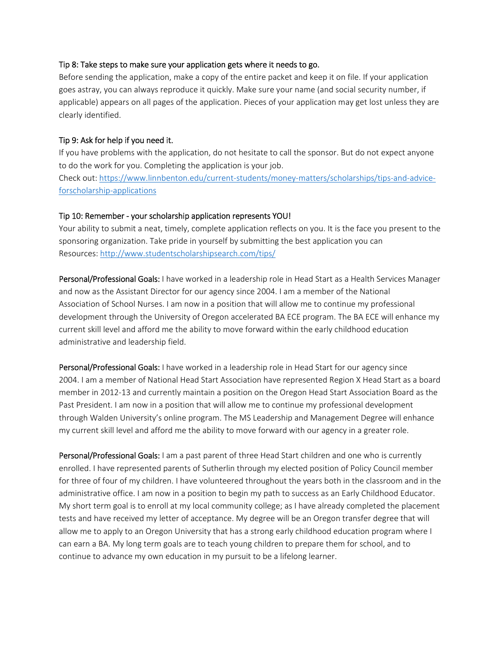#### Tip 8: Take steps to make sure your application gets where it needs to go.

Before sending the application, make a copy of the entire packet and keep it on file. If your application goes astray, you can always reproduce it quickly. Make sure your name (and social security number, if applicable) appears on all pages of the application. Pieces of your application may get lost unless they are clearly identified.

## Tip 9: Ask for help if you need it.

If you have problems with the application, do not hesitate to call the sponsor. But do not expect anyone to do the work for you. Completing the application is your job. Check out: https://www.linnbenton.edu/current‐students/money‐matters/scholarships/tips‐and‐advice‐ forscholarship‐applications

#### Tip 10: Remember ‐ your scholarship application represents YOU!

Your ability to submit a neat, timely, complete application reflects on you. It is the face you present to the sponsoring organization. Take pride in yourself by submitting the best application you can Resources: http://www.studentscholarshipsearch.com/tips/

Personal/Professional Goals: I have worked in a leadership role in Head Start as a Health Services Manager and now as the Assistant Director for our agency since 2004. I am a member of the National Association of School Nurses. I am now in a position that will allow me to continue my professional development through the University of Oregon accelerated BA ECE program. The BA ECE will enhance my current skill level and afford me the ability to move forward within the early childhood education administrative and leadership field.

Personal/Professional Goals: I have worked in a leadership role in Head Start for our agency since 2004. I am a member of National Head Start Association have represented Region X Head Start as a board member in 2012‐13 and currently maintain a position on the Oregon Head Start Association Board as the Past President. I am now in a position that will allow me to continue my professional development through Walden University's online program. The MS Leadership and Management Degree will enhance my current skill level and afford me the ability to move forward with our agency in a greater role.

Personal/Professional Goals: I am a past parent of three Head Start children and one who is currently enrolled. I have represented parents of Sutherlin through my elected position of Policy Council member for three of four of my children. I have volunteered throughout the years both in the classroom and in the administrative office. I am now in a position to begin my path to success as an Early Childhood Educator. My short term goal is to enroll at my local community college; as I have already completed the placement tests and have received my letter of acceptance. My degree will be an Oregon transfer degree that will allow me to apply to an Oregon University that has a strong early childhood education program where I can earn a BA. My long term goals are to teach young children to prepare them for school, and to continue to advance my own education in my pursuit to be a lifelong learner.